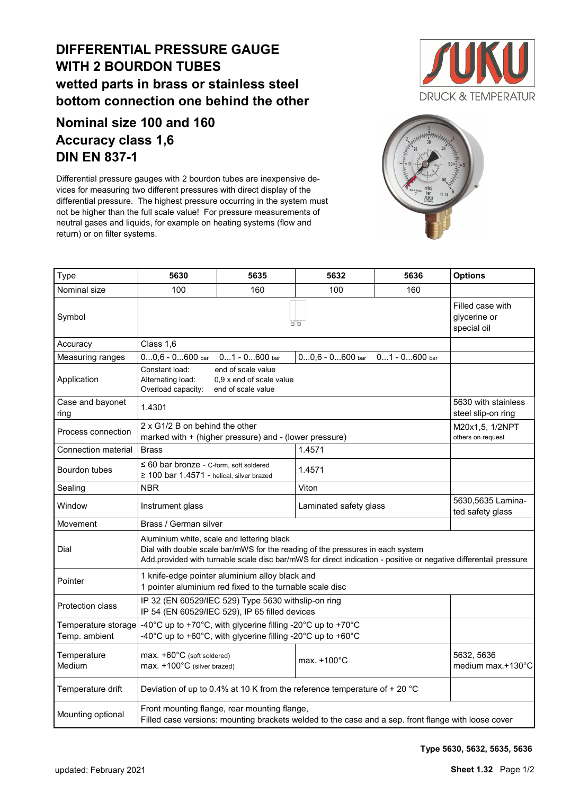## **DIFFERENTIAL PRESSURE GAUGE WITH 2 BOURDON TUBES wetted parts in brass or stainless steel bottom connection one behind the other**

## **Nominal size 100 and 160 Accuracy class 1,6 DIN EN 837-1**

Differential pressure gauges with 2 bourdon tubes are inexpensive devices for measuring two different pressures with direct display of the differential pressure. The highest pressure occurring in the system must not be higher than the full scale value! For pressure measurements of neutral gases and liquids, for example on heating systems (flow and return) or on filter systems.





| Type                                 | 5630                                                                                                                                                                                                                                             | 5635                                                                                                       | 5632                                                                      | 5636                                  | <b>Options</b> |  |  |  |  |  |  |  |
|--------------------------------------|--------------------------------------------------------------------------------------------------------------------------------------------------------------------------------------------------------------------------------------------------|------------------------------------------------------------------------------------------------------------|---------------------------------------------------------------------------|---------------------------------------|----------------|--|--|--|--|--|--|--|
| Nominal size                         | 100                                                                                                                                                                                                                                              | 160                                                                                                        |                                                                           |                                       |                |  |  |  |  |  |  |  |
| Symbol                               |                                                                                                                                                                                                                                                  | Filled case with<br>glycerine or<br>special oil                                                            |                                                                           |                                       |                |  |  |  |  |  |  |  |
| Accuracy                             | Class 1,6                                                                                                                                                                                                                                        |                                                                                                            |                                                                           |                                       |                |  |  |  |  |  |  |  |
| Measuring ranges                     | $00,6 - 0600$ bar                                                                                                                                                                                                                                |                                                                                                            |                                                                           |                                       |                |  |  |  |  |  |  |  |
| Application                          | Constant load:<br>end of scale value<br>Alternating load:<br>0.9 x end of scale value<br>Overload capacity:<br>end of scale value                                                                                                                |                                                                                                            |                                                                           |                                       |                |  |  |  |  |  |  |  |
| Case and bayonet<br>ring             | 1.4301                                                                                                                                                                                                                                           | 5630 with stainless<br>steel slip-on ring                                                                  |                                                                           |                                       |                |  |  |  |  |  |  |  |
| Process connection                   | 2 x G1/2 B on behind the other<br>marked with + (higher pressure) and - (lower pressure)                                                                                                                                                         | M20x1,5, 1/2NPT<br>others on request                                                                       |                                                                           |                                       |                |  |  |  |  |  |  |  |
| Connection material                  | <b>Brass</b>                                                                                                                                                                                                                                     |                                                                                                            |                                                                           |                                       |                |  |  |  |  |  |  |  |
| Bourdon tubes                        | $\leq 60$ bar bronze - C-form, soft soldered<br>$\geq$ 100 bar 1.4571 - helical, silver brazed                                                                                                                                                   |                                                                                                            |                                                                           |                                       |                |  |  |  |  |  |  |  |
| Sealing                              | <b>NBR</b>                                                                                                                                                                                                                                       |                                                                                                            |                                                                           |                                       |                |  |  |  |  |  |  |  |
| Window                               | Instrument glass                                                                                                                                                                                                                                 |                                                                                                            | Laminated safety glass                                                    | 5630,5635 Lamina-<br>ted safety glass |                |  |  |  |  |  |  |  |
| Movement                             | Brass / German silver                                                                                                                                                                                                                            |                                                                                                            |                                                                           |                                       |                |  |  |  |  |  |  |  |
| Dial                                 | Aluminium white, scale and lettering black<br>Dial with double scale bar/mWS for the reading of the pressures in each system<br>Add.provided with turnable scale disc bar/mWS for direct indication - positive or negative differentail pressure |                                                                                                            |                                                                           |                                       |                |  |  |  |  |  |  |  |
| Pointer                              |                                                                                                                                                                                                                                                  | 1 knife-edge pointer aluminium alloy black and<br>1 pointer aluminium red fixed to the turnable scale disc |                                                                           |                                       |                |  |  |  |  |  |  |  |
| <b>Protection class</b>              | IP 32 (EN 60529/IEC 529) Type 5630 withslip-on ring<br>IP 54 (EN 60529/IEC 529), IP 65 filled devices                                                                                                                                            |                                                                                                            |                                                                           |                                       |                |  |  |  |  |  |  |  |
| Temperature storage<br>Temp. ambient | -40°C up to +70°C, with glycerine filling -20°C up to +70°C<br>-40°C up to +60°C, with glycerine filling -20°C up to +60°C                                                                                                                       |                                                                                                            |                                                                           |                                       |                |  |  |  |  |  |  |  |
| Temperature<br>Medium                | max. +60°C (soft soldered)<br>max. +100°C (silver brazed)                                                                                                                                                                                        |                                                                                                            | 5632, 5636<br>medium max.+130°C                                           |                                       |                |  |  |  |  |  |  |  |
| Temperature drift                    |                                                                                                                                                                                                                                                  |                                                                                                            | Deviation of up to 0.4% at 10 K from the reference temperature of + 20 °C |                                       |                |  |  |  |  |  |  |  |
| Mounting optional                    | Front mounting flange, rear mounting flange,<br>Filled case versions: mounting brackets welded to the case and a sep. front flange with loose cover                                                                                              |                                                                                                            |                                                                           |                                       |                |  |  |  |  |  |  |  |